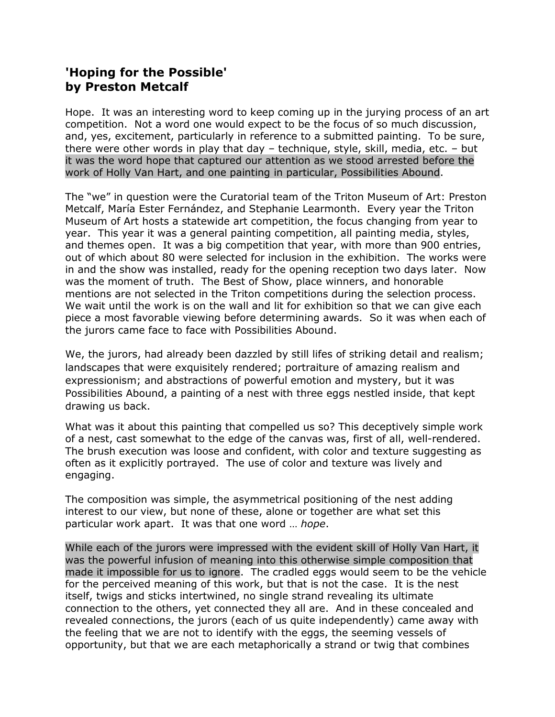## **'Hoping for the Possible' by Preston Metcalf**

Hope. It was an interesting word to keep coming up in the jurying process of an art competition. Not a word one would expect to be the focus of so much discussion, and, yes, excitement, particularly in reference to a submitted painting. To be sure, there were other words in play that day – technique, style, skill, media, etc. – but it was the word hope that captured our attention as we stood arrested before the work of Holly Van Hart, and one painting in particular, Possibilities Abound.

The "we" in question were the Curatorial team of the Triton Museum of Art: Preston Metcalf, María Ester Fernández, and Stephanie Learmonth. Every year the Triton Museum of Art hosts a statewide art competition, the focus changing from year to year. This year it was a general painting competition, all painting media, styles, and themes open. It was a big competition that year, with more than 900 entries, out of which about 80 were selected for inclusion in the exhibition. The works were in and the show was installed, ready for the opening reception two days later. Now was the moment of truth. The Best of Show, place winners, and honorable mentions are not selected in the Triton competitions during the selection process. We wait until the work is on the wall and lit for exhibition so that we can give each piece a most favorable viewing before determining awards. So it was when each of the jurors came face to face with Possibilities Abound.

We, the jurors, had already been dazzled by still lifes of striking detail and realism; landscapes that were exquisitely rendered; portraiture of amazing realism and expressionism; and abstractions of powerful emotion and mystery, but it was Possibilities Abound, a painting of a nest with three eggs nestled inside, that kept drawing us back.

What was it about this painting that compelled us so? This deceptively simple work of a nest, cast somewhat to the edge of the canvas was, first of all, well-rendered. The brush execution was loose and confident, with color and texture suggesting as often as it explicitly portrayed. The use of color and texture was lively and engaging.

The composition was simple, the asymmetrical positioning of the nest adding interest to our view, but none of these, alone or together are what set this particular work apart. It was that one word … *hope*.

While each of the jurors were impressed with the evident skill of Holly Van Hart, it was the powerful infusion of meaning into this otherwise simple composition that made it impossible for us to ignore. The cradled eggs would seem to be the vehicle for the perceived meaning of this work, but that is not the case. It is the nest itself, twigs and sticks intertwined, no single strand revealing its ultimate connection to the others, yet connected they all are. And in these concealed and revealed connections, the jurors (each of us quite independently) came away with the feeling that we are not to identify with the eggs, the seeming vessels of opportunity, but that we are each metaphorically a strand or twig that combines